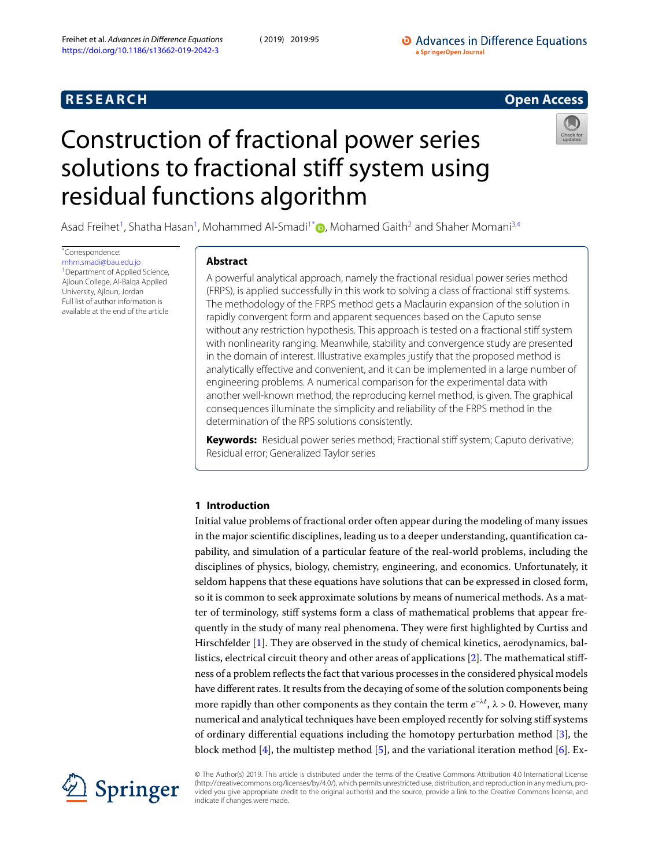## **R E S E A R C H Open Access**



# <span id="page-0-0"></span>Construction of fractional power series solutions to fractional stiff system using residual functions algorithm

Asad Freihet<sup>[1](#page-13-0)</sup>, Shatha Hasan<sup>1</sup>, Mohammed Al-Smadi<sup>1[\\*](#page-0-0)</sup> **D**[,](http://orcid.org/0000-0003-0226-7254) Mohamed Gaith<sup>[2](#page-13-1)</sup> and Shaher Momani<sup>[3,](#page-13-2)[4](#page-13-3)</sup>

\*Correspondence: [mhm.smadi@bau.edu.jo](mailto:mhm.smadi@bau.edu.jo) <sup>1</sup> Department of Applied Science, Ajloun College, Al-Balqa Applied University, Ajloun, Jordan Full list of author information is available at the end of the article

#### **Abstract**

A powerful analytical approach, namely the fractional residual power series method (FRPS), is applied successfully in this work to solving a class of fractional stiff systems. The methodology of the FRPS method gets a Maclaurin expansion of the solution in rapidly convergent form and apparent sequences based on the Caputo sense without any restriction hypothesis. This approach is tested on a fractional stiff system with nonlinearity ranging. Meanwhile, stability and convergence study are presented in the domain of interest. Illustrative examples justify that the proposed method is analytically effective and convenient, and it can be implemented in a large number of engineering problems. A numerical comparison for the experimental data with another well-known method, the reproducing kernel method, is given. The graphical consequences illuminate the simplicity and reliability of the FRPS method in the determination of the RPS solutions consistently.

**Keywords:** Residual power series method; Fractional stiff system; Caputo derivative; Residual error; Generalized Taylor series

### **1 Introduction**

Initial value problems of fractional order often appear during the modeling of many issues in the major scientific disciplines, leading us to a deeper understanding, quantification capability, and simulation of a particular feature of the real-world problems, including the disciplines of physics, biology, chemistry, engineering, and economics. Unfortunately, it seldom happens that these equations have solutions that can be expressed in closed form, so it is common to seek approximate solutions by means of numerical methods. As a matter of terminology, stiff systems form a class of mathematical problems that appear frequently in the study of many real phenomena. They were first highlighted by Curtiss and Hirschfelder[[1\]](#page-14-0). They are observed in the study of chemical kinetics, aerodynamics, ballistics, electrical circuit theory and other areas of applications[[2\]](#page-14-1). The mathematical stiffness of a problem reflects the fact that various processes in the considered physical models have different rates. It results from the decaying of some of the solution components being more rapidly than other components as they contain the term  $e^{-\lambda t}$ ,  $\lambda > 0$ . However, many numerical and analytical techniques have been employed recently for solving stiff systems of ordinary differential equations including the homotopy perturbation method[[3\]](#page-14-2), the block method [\[4](#page-14-3)], the multistep method [\[5](#page-14-4)], and the variational iteration method [\[6](#page-14-5)]. Ex-



© The Author(s) 2019. This article is distributed under the terms of the Creative Commons Attribution 4.0 International License (http://creativecommons.org/licenses/by/4.0/), which permits unrestricted use, distribution, and reproduction in any medium, provided you give appropriate credit to the original author(s) and the source, provide a link to the Creative Commons license, and indicate if changes were made.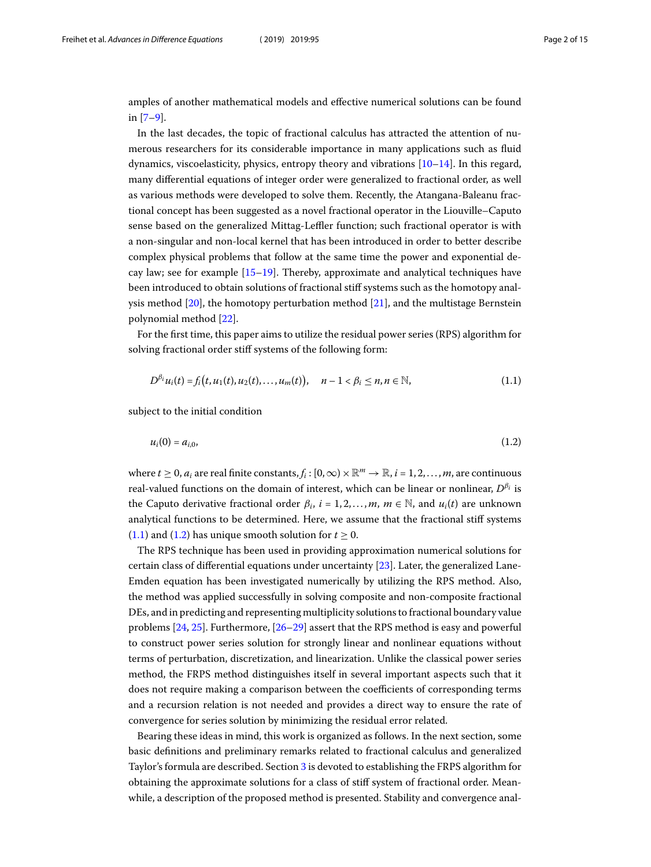amples of another mathematical models and effective numerical solutions can be found in [\[7](#page-14-6)–[9\]](#page-14-7).

In the last decades, the topic of fractional calculus has attracted the attention of numerous researchers for its considerable importance in many applications such as fluid dynamics, viscoelasticity, physics, entropy theory and vibrations[[10–](#page-14-8)[14](#page-14-9)]. In this regard, many differential equations of integer order were generalized to fractional order, as well as various methods were developed to solve them. Recently, the Atangana-Baleanu fractional concept has been suggested as a novel fractional operator in the Liouville–Caputo sense based on the generalized Mittag-Leffler function; such fractional operator is with a non-singular and non-local kernel that has been introduced in order to better describe complex physical problems that follow at the same time the power and exponential decay law; see for example [\[15](#page-14-10)–[19\]](#page-14-11). Thereby, approximate and analytical techniques have been introduced to obtain solutions of fractional stiff systems such as the homotopy analysis method [\[20](#page-14-12)], the homotopy perturbation method[[21\]](#page-14-13), and the multistage Bernstein polynomial method [\[22\]](#page-14-14).

For the first time, this paper aims to utilize the residual power series (RPS) algorithm for solving fractional order stiff systems of the following form:

<span id="page-1-1"></span><span id="page-1-0"></span>
$$
D^{\beta_i}u_i(t) = f_i(t, u_1(t), u_2(t), \dots, u_m(t)), \quad n-1 < \beta_i \leq n, n \in \mathbb{N}, \tag{1.1}
$$

subject to the initial condition

$$
u_i(0) = a_{i,0}, \tag{1.2}
$$

where  $t\geq 0$ ,  $a_i$  are real finite constants,  $f_i:[0,\infty)\times\mathbb{R}^m\to\mathbb{R}$ ,  $i=1,2,\ldots,m,$  are continuous real-valued functions on the domain of interest, which can be linear or nonlinear,  $D^{\beta_i}$  is the Caputo derivative fractional order  $\beta_i$ ,  $i = 1, 2, ..., m$ ,  $m \in \mathbb{N}$ , and  $u_i(t)$  are unknown analytical functions to be determined. Here, we assume that the fractional stiff systems ([1.1\)](#page-1-0)and ([1.2\)](#page-1-1) has unique smooth solution for  $t \ge 0$ .

The RPS technique has been used in providing approximation numerical solutions for certain class of differential equations under uncertainty[[23\]](#page-14-15). Later, the generalized Lane-Emden equation has been investigated numerically by utilizing the RPS method. Also, the method was applied successfully in solving composite and non-composite fractional DEs, and in predicting and representing multiplicity solutions to fractional boundary value problems [\[24,](#page-14-16) [25\]](#page-14-17). Furthermore, [\[26](#page-14-18)[–29\]](#page-14-19) assert that the RPS method is easy and powerful to construct power series solution for strongly linear and nonlinear equations without terms of perturbation, discretization, and linearization. Unlike the classical power series method, the FRPS method distinguishes itself in several important aspects such that it does not require making a comparison between the coefficients of corresponding terms and a recursion relation is not needed and provides a direct way to ensure the rate of convergence for series solution by minimizing the residual error related.

Bearing these ideas in mind, this work is organized as follows. In the next section, some basic definitions and preliminary remarks related to fractional calculus and generalized Taylor's formula are described. Section [3](#page-3-0) is devoted to establishing the FRPS algorithm for obtaining the approximate solutions for a class of stiff system of fractional order. Meanwhile, a description of the proposed method is presented. Stability and convergence anal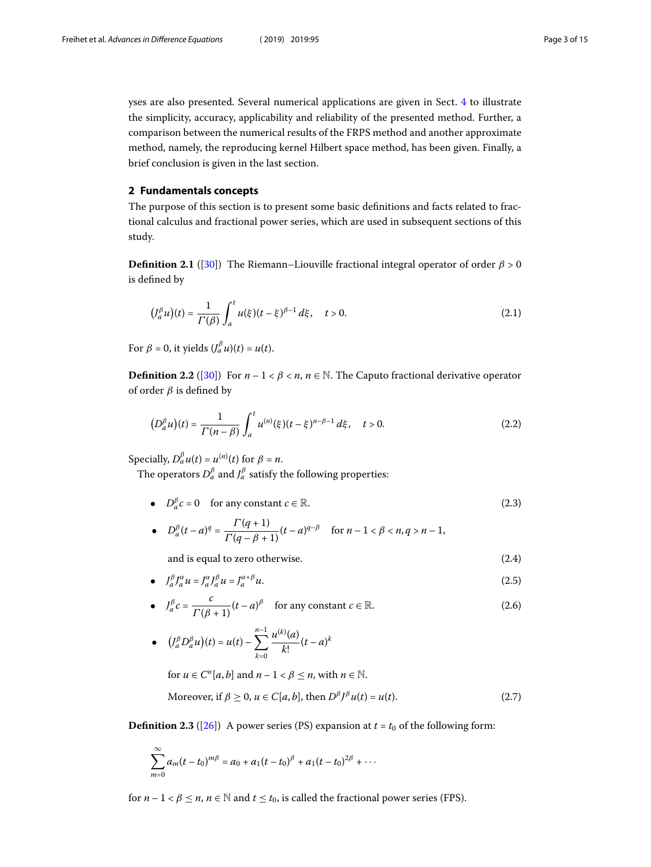yses are also presented. Several numerical applications are given in Sect. [4](#page-6-0) to illustrate the simplicity, accuracy, applicability and reliability of the presented method. Further, a comparison between the numerical results of the FRPS method and another approximate method, namely, the reproducing kernel Hilbert space method, has been given. Finally, a brief conclusion is given in the last section.

#### **2 Fundamentals concepts**

The purpose of this section is to present some basic definitions and facts related to fractional calculus and fractional power series, which are used in subsequent sections of this study.

**Definition 2.1** ([[30\]](#page-14-20)) The Riemann–Liouville fractional integral operator of order  $\beta > 0$ is defined by

$$
\left(J_a^{\beta} u\right)(t) = \frac{1}{\Gamma(\beta)} \int_a^t u(\xi)(t - \xi)^{\beta - 1} d\xi, \quad t > 0.
$$
\n(2.1)

For  $\beta = 0$ , it yields  $(J_a^{\beta} u)(t) = u(t)$ .

**Definition 2.2** ([\[30](#page-14-20)]) For  $n-1 < \beta < n$ ,  $n \in \mathbb{N}$ . The Caputo fractional derivative operator of order  $\beta$  is defined by

$$
\left(D_a^{\beta} u\right)(t) = \frac{1}{\Gamma(n-\beta)} \int_a^t u^{(n)}(\xi)(t-\xi)^{n-\beta-1} d\xi, \quad t > 0. \tag{2.2}
$$

Specially,  $D_a^{\beta}u(t) = u^{(n)}(t)$  for  $\beta = n$ .

The operators  $D_a^{\beta}$  and  $J_a^{\beta}$  satisfy the following properties:

- $D_a^{\beta}c = 0$  for any constant  $c \in \mathbb{R}$ . (2.3)
- $D_a^{\beta}(t-a)^q = \frac{\Gamma(q+1)}{\Gamma(q-\beta+1)}(t-a)^{q-\beta}$  for  $n-1 < \beta < n, q > n-1$ ,

<span id="page-2-2"></span><span id="page-2-1"></span><span id="page-2-0"></span>and is equal to zero otherwise. (2.4)

•  $J_a^{\beta} J_a^{\alpha} u = J_a^{\alpha} J_a^{\beta} u = J_a^{\alpha + \beta}$  $a^{a+p} u.$  (2.5)

• 
$$
J_a^{\beta} c = \frac{c}{\Gamma(\beta + 1)} (t - a)^{\beta}
$$
 for any constant  $c \in \mathbb{R}$ . (2.6)

• 
$$
(J_a^{\beta} D_a^{\beta} u)(t) = u(t) - \sum_{k=0}^{n-1} \frac{u^{(k)}(a)}{k!} (t-a)^k
$$

for  $u \in C^n[a, b]$  and  $n - 1 < \beta \le n$ , with  $n \in \mathbb{N}$ .

Moreover, if 
$$
\beta \ge 0
$$
,  $u \in C[a, b]$ , then  $D^{\beta} J^{\beta} u(t) = u(t)$ . (2.7)

**Definition 2.3** ([\[26\]](#page-14-18)) A power series (PS) expansion at  $t = t_0$  of the following form:

$$
\sum_{m=0}^{\infty} a_m (t-t_0)^{m\beta} = a_0 + a_1 (t-t_0)^{\beta} + a_1 (t-t_0)^{2\beta} + \cdots
$$

for  $n-1 < \beta \le n$ ,  $n \in \mathbb{N}$  and  $t \le t_0$ , is called the fractional power series (FPS).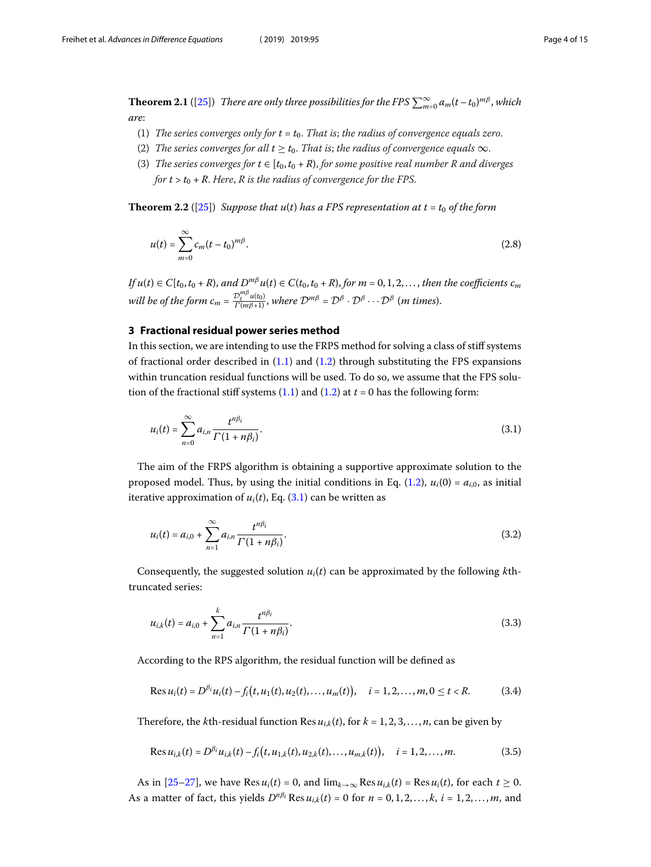**Theorem 2.1** ([[25](#page-14-17)]) There are only three possibilities for the FPS  $\sum_{m=0}^{\infty} a_m (t-t_0)^{m\beta}$ , which are:

- (1) The series converges only for  $t = t_0$ . That is; the radius of convergence equals zero.
- <span id="page-3-4"></span>(2) The series converges for all  $t \geq t_0$ . That is; the radius of convergence equals  $\infty$ .
- (3) The series converges for  $t \in [t_0,t_0+R)$ , for some positive real number R and diverges for  $t > t_0 + R$ . Here, R is the radius of convergence for the FPS.

<span id="page-3-0"></span>**Theorem 2.2** ([\[25](#page-14-17)]) Suppose that  $u(t)$  has a FPS representation at  $t = t_0$  of the form

$$
u(t) = \sum_{m=0}^{\infty} c_m (t - t_0)^{m\beta}.
$$
 (2.8)

If  $u(t) \in C[t_0, t_0 + R)$ , and  $D^{m\beta}u(t) \in C(t_0, t_0 + R)$ , for  $m = 0, 1, 2, \ldots$ , then the coefficients  $c_m$ will be of the form  $c_m = \frac{\mathcal{D}_t^{m\beta}u(t_0)}{\Gamma(m\beta+1)}$ , where  $\mathcal{D}^{m\beta} = \mathcal{D}^{\beta} \cdot \mathcal{D}^{\beta} \cdots \mathcal{D}^{\beta}$  (m times).

#### **3 Fractional residual power series method**

In this section, we are intending to use the FRPS method for solving a class of stiff systems offractional order described in  $(1.1)$  $(1.1)$  and  $(1.2)$  through substituting the FPS expansions within truncation residual functions will be used. To do so, we assume that the FPS solution of the fractional stiff systems  $(1.1)$  and  $(1.2)$  at  $t = 0$  has the following form:

<span id="page-3-1"></span>
$$
u_i(t) = \sum_{n=0}^{\infty} a_{i,n} \frac{t^{n\beta_i}}{\Gamma(1+n\beta_i)}.
$$
\n(3.1)

The aim of the FRPS algorithm is obtaining a supportive approximate solution to the proposed model. Thus, by using the initial conditions in Eq. [\(1.2](#page-1-1)),  $u_i(0) = a_{i,0}$ , as initial iterativeapproximation of  $u_i(t)$ , Eq. ([3.1\)](#page-3-1) can be written as

<span id="page-3-2"></span>
$$
u_i(t) = a_{i,0} + \sum_{n=1}^{\infty} a_{i,n} \frac{t^{n\beta_i}}{\Gamma(1 + n\beta_i)}.
$$
 (3.2)

Consequently, the suggested solution  $u_i(t)$  can be approximated by the following kthtruncated series:

$$
u_{i,k}(t) = a_{i,0} + \sum_{n=1}^{k} a_{i,n} \frac{t^{n\beta_i}}{\Gamma(1 + n\beta_i)}.
$$
\n(3.3)

According to the RPS algorithm, the residual function will be defined as

<span id="page-3-3"></span>
$$
\text{Res } u_i(t) = D^{\beta_i} u_i(t) - f_i(t, u_1(t), u_2(t), \dots, u_m(t)), \quad i = 1, 2, \dots, m, 0 \le t < R. \tag{3.4}
$$

Therefore, the kth-residual function Res  $u_{i,k}(t)$ , for  $k = 1, 2, 3, \ldots, n$ , can be given by

$$
\text{Res } u_{i,k}(t) = D^{\beta_i} u_{i,k}(t) - f_i(t, u_{1,k}(t), u_{2,k}(t), \dots, u_{m,k}(t)), \quad i = 1, 2, \dots, m. \tag{3.5}
$$

As in [\[25](#page-14-17)[–27\]](#page-14-21), we have Res  $u_i(t) = 0$ , and  $\lim_{k \to \infty}$  Res  $u_{i,k}(t) = \text{Res } u_i(t)$ , for each  $t \ge 0$ . As a matter of fact, this yields  $D^{n\beta_i}$  Res  $u_{i,k}(t) = 0$  for  $n = 0, 1, 2, ..., k$ ,  $i = 1, 2, ..., m$ , and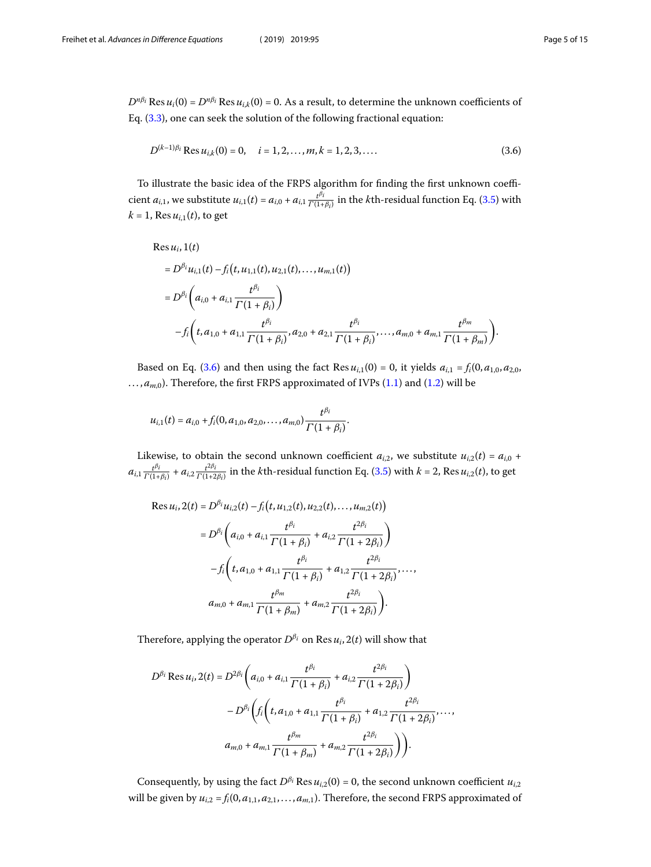$D^{n\beta_i}$  Res  $u_i(0) = D^{n\beta_i}$  Res  $u_{i,k}(0) = 0$ . As a result, to determine the unknown coefficients of Eq.([3.3](#page-3-2)), one can seek the solution of the following fractional equation:

<span id="page-4-0"></span>
$$
D^{(k-1)\beta_i} \operatorname{Res} u_{i,k}(0) = 0, \quad i = 1, 2, ..., m, k = 1, 2, 3, ... \tag{3.6}
$$

To illustrate the basic idea of the FRPS algorithm for finding the first unknown coefficient  $a_{i,1}$ , we substitute  $u_{i,1}(t) = a_{i,0} + a_{i,1} \frac{t^{\beta_i}}{\Gamma(1 + t)}$  $\frac{t^{p}t^{r}}{\Gamma(1+\beta_{i})}$ in the *k*th-residual function Eq. ([3.5\)](#page-3-3) with  $k = 1$ , Res  $u_{i,1}(t)$ , to get

Res 
$$
u_i
$$
, 1(t)  
\n=  $D^{\beta_i}u_{i,1}(t) - f_i(t, u_{1,1}(t), u_{2,1}(t), ..., u_{m,1}(t))$   
\n=  $D^{\beta_i}$  $\left(a_{i,0} + a_{i,1} \frac{t^{\beta_i}}{\Gamma(1 + \beta_i)}\right)$   
\n $-f_i\left(t, a_{1,0} + a_{1,1} \frac{t^{\beta_i}}{\Gamma(1 + \beta_i)}, a_{2,0} + a_{2,1} \frac{t^{\beta_i}}{\Gamma(1 + \beta_i)}, ..., a_{m,0} + a_{m,1} \frac{t^{\beta_m}}{\Gamma(1 + \beta_m)}\right)$ .

Based on Eq. [\(3.6](#page-4-0)) and then using the fact Res  $u_{i,1}(0) = 0$ , it yields  $a_{i,1} = f_i(0, a_{1,0}, a_{2,0},$  $..., a_{m,0}$ ). Therefore, the first FRPS approximated of IVPs [\(1.1](#page-1-0)) and [\(1.2](#page-1-1)) will be

$$
u_{i,1}(t) = a_{i,0} + f_i(0, a_{1,0}, a_{2,0}, \ldots, a_{m,0}) \frac{t^{\beta_i}}{\Gamma(1+\beta_i)}.
$$

Likewise, to obtain the second unknown coefficient  $a_{i,2}$ , we substitute  $u_{i,2}(t) = a_{i,0}$  +  $a_{i,1} \frac{t^{\beta_i}}{\Gamma(1 + 1)}$  $\frac{t^{\beta_i}}{\Gamma(1+\beta_i)} + a_{i,2} \frac{t^{2\beta_i}}{\Gamma(1+2i)}$  $\frac{t^{2\mu_1}}{\Gamma(1+2\beta_1)}$  in the *k*th-residual function Eq. [\(3.5](#page-3-3)) with  $k = 2$ , Res  $u_{i,2}(t)$ , to get

$$
\operatorname{Res} u_i, 2(t) = D^{\beta_i} u_{i,2}(t) - f_i(t, u_{1,2}(t), u_{2,2}(t), \dots, u_{m,2}(t))
$$
\n
$$
= D^{\beta_i} \left( a_{i,0} + a_{i,1} \frac{t^{\beta_i}}{\Gamma(1 + \beta_i)} + a_{i,2} \frac{t^{2\beta_i}}{\Gamma(1 + 2\beta_i)} \right)
$$
\n
$$
-f_i \left( t, a_{1,0} + a_{1,1} \frac{t^{\beta_i}}{\Gamma(1 + \beta_i)} + a_{1,2} \frac{t^{2\beta_i}}{\Gamma(1 + 2\beta_i)} \right) \dots,
$$
\n
$$
a_{m,0} + a_{m,1} \frac{t^{\beta_m}}{\Gamma(1 + \beta_m)} + a_{m,2} \frac{t^{2\beta_i}}{\Gamma(1 + 2\beta_i)} \right).
$$

Therefore, applying the operator  $D^{\beta_i}$  on Res  $u_i$ , 2(*t*) will show that

$$
D^{\beta_i} \operatorname{Res} u_i, 2(t) = D^{2\beta_i} \left( a_{i,0} + a_{i,1} \frac{t^{\beta_i}}{\Gamma(1+\beta_i)} + a_{i,2} \frac{t^{2\beta_i}}{\Gamma(1+2\beta_i)} \right)
$$

$$
-D^{\beta_i} \left( f_i \left( t, a_{1,0} + a_{1,1} \frac{t^{\beta_i}}{\Gamma(1+\beta_i)} + a_{1,2} \frac{t^{2\beta_i}}{\Gamma(1+2\beta_i)} \right) \right)
$$

$$
a_{m,0} + a_{m,1} \frac{t^{\beta_m}}{\Gamma(1+\beta_m)} + a_{m,2} \frac{t^{2\beta_i}}{\Gamma(1+2\beta_i)} \right) \Bigg).
$$

Consequently, by using the fact  $D^{\beta_i}$  Res  $u_{i,2}(0) = 0$ , the second unknown coefficient  $u_{i,2}$ will be given by  $u_{i,2} = f_i(0, a_{1,1}, a_{2,1},..., a_{m,1})$ . Therefore, the second FRPS approximated of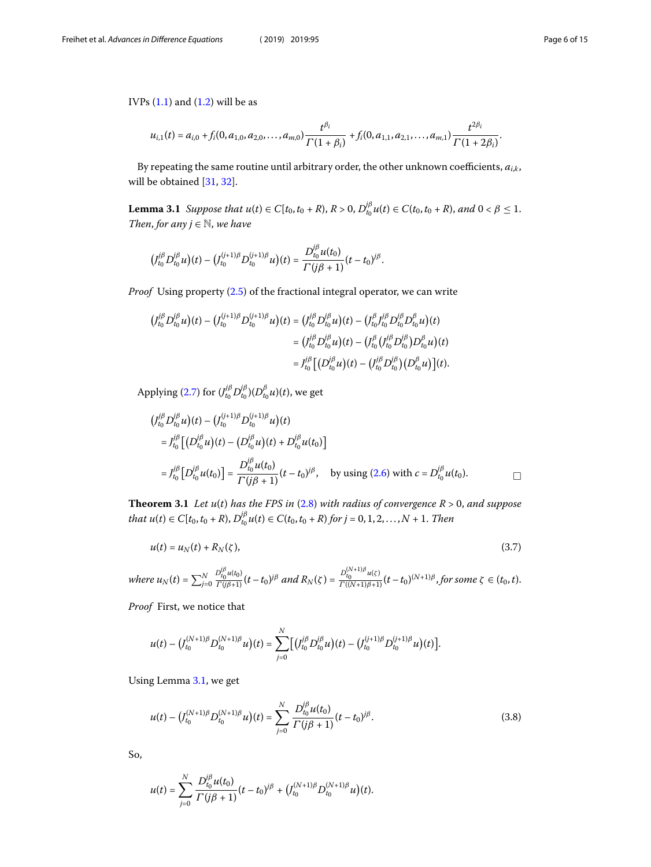<span id="page-5-0"></span>IVPs $(1.1)$  $(1.1)$  and  $(1.2)$  $(1.2)$  will be as

$$
u_{i,1}(t) = a_{i,0} + f_i(0, a_{1,0}, a_{2,0}, \ldots, a_{m,0}) \frac{t^{\beta_i}}{\Gamma(1+\beta_i)} + f_i(0, a_{1,1}, a_{2,1}, \ldots, a_{m,1}) \frac{t^{2\beta_i}}{\Gamma(1+2\beta_i)}.
$$

By repeating the same routine until arbitrary order, the other unknown coefficients,  $a_{ik}$ , will be obtained[[31,](#page-14-22) [32](#page-14-23)].

**Lemma 3.1** Suppose that  $u(t) \in C[t_0, t_0 + R)$ ,  $R > 0$ ,  $D_{t_0}^{j\beta}u(t) \in C(t_0, t_0 + R)$ , and  $0 < \beta \le 1$ . Then, for any  $j \in \mathbb{N}$ , we have

<span id="page-5-2"></span> $\overline{\phantom{a}}$ 

$$
(J_{t_0}^{j\beta} D_{t_0}^{j\beta} u)(t) - (J_{t_0}^{(j+1)\beta} D_{t_0}^{(j+1)\beta} u)(t) = \frac{D_{t_0}^{j\beta} u(t_0)}{\Gamma(j\beta + 1)} (t - t_0)^{j\beta}.
$$

ProofUsing property ([2.5\)](#page-2-0) of the fractional integral operator, we can write

$$
\begin{split} \left(J_{t_0}^{j\beta}D_{t_0}^{j\beta}u\right)(t)-\left(J_{t_0}^{(j+1)\beta}D_{t_0}^{(j+1)\beta}u\right)(t)&=\left(J_{t_0}^{j\beta}D_{t_0}^{j\beta}u\right)(t)-\left(J_{t_0}^{\beta}J_{t_0}^{j\beta}D_{t_0}^{\beta}D_{t_0}^{j\beta}u\right)(t)\\ &=\left(J_{t_0}^{j\beta}D_{t_0}^{j\beta}u\right)(t)-\left(J_{t_0}^{\beta}\left(J_{t_0}^{j\beta}D_{t_0}^{j\beta}\right)D_{t_0}^{\beta}u\right)(t)\\ &=J_{t_0}^{j\beta}\left[\left(D_{t_0}^{j\beta}u\right)(t)-\left(J_{t_0}^{j\beta}D_{t_0}^{j\beta}\right)\left(D_{t_0}^{\beta}u\right)\right](t). \end{split}
$$

Applying [\(2.7](#page-2-1)) for  $(J_{t_0}^{j\beta} D_{t_0}^{j\beta})(D_{t_0}^{\beta} u)(t)$ , we get

$$
\begin{split}\n&\left(J_{t_0}^{j\beta} D_{t_0}^{j\beta} u\right)(t) - \left(J_{t_0}^{(j+1)\beta} D_{t_0}^{(j+1)\beta} u\right)(t) \\
&= J_{t_0}^{j\beta} \left[ \left(D_{t_0}^{j\beta} u\right)(t) - \left(D_{t_0}^{j\beta} u\right)(t) + D_{t_0}^{j\beta} u(t_0) \right] \\
&= J_{t_0}^{j\beta} \left[ D_{t_0}^{j\beta} u(t_0) \right] = \frac{D_{t_0}^{j\beta} u(t_0)}{\Gamma(j\beta + 1)} (t - t_0)^{j\beta}, \quad \text{by using (2.6) with } c = D_{t_0}^{j\beta} u(t_0). \quad \Box\n\end{split}
$$

**Theorem 3.1** Let  $u(t)$  has the FPS in  $(2.8)$  $(2.8)$  with radius of convergence  $R > 0$ , and suppose that  $u(t) \in C[t_0, t_0 + R)$ ,  $D_{t_0}^{\beta} u(t) \in C(t_0, t_0 + R)$  for  $j = 0, 1, 2, ..., N + 1$ . Then

$$
u(t) = u_N(t) + R_N(\zeta), \qquad (3.7)
$$

where 
$$
u_N(t) = \sum_{j=0}^N \frac{D_{t_0}^{j\beta} u(t_0)}{\Gamma(j\beta+1)} (t-t_0)^{j\beta}
$$
 and  $R_N(\zeta) = \frac{D_{t_0}^{(N+1)\beta} u(\zeta)}{\Gamma((N+1)\beta+1)} (t-t_0)^{(N+1)\beta}$ , for some  $\zeta \in (t_0, t)$ .

Proof First, we notice that

<span id="page-5-1"></span>
$$
u(t) - (J_{t_0}^{(N+1)\beta} D_{t_0}^{(N+1)\beta} u)(t) = \sum_{j=0}^N \bigl[ (J_{t_0}^{j\beta} D_{t_0}^{j\beta} u)(t) - (J_{t_0}^{(j+1)\beta} D_{t_0}^{(j+1)\beta} u)(t) \bigr].
$$

Using Lemma [3.1,](#page-5-0) we get

$$
u(t) - \left(J_{t_0}^{(N+1)\beta} D_{t_0}^{(N+1)\beta} u\right)(t) = \sum_{j=0}^N \frac{D_{t_0}^{j\beta} u(t_0)}{\Gamma(j\beta + 1)} (t - t_0)^{j\beta}.
$$
 (3.8)

So,

$$
u(t) = \sum_{j=0}^N \frac{D_{t_0}^{j\beta} u(t_0)}{\Gamma(j\beta + 1)} (t - t_0)^{j\beta} + (J_{t_0}^{(N+1)\beta} D_{t_0}^{(N+1)\beta} u)(t).
$$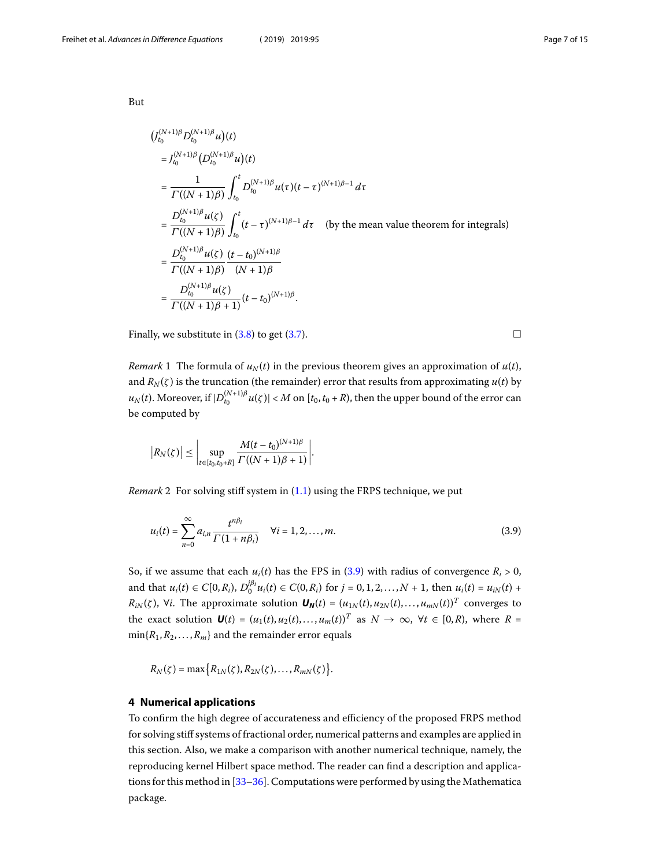But

$$
\begin{split}\n&\left(J_{t_0}^{(N+1)\beta} D_{t_0}^{(N+1)\beta} u\right)(t) \\
&= J_{t_0}^{(N+1)\beta} \left(D_{t_0}^{(N+1)\beta} u\right)(t) \\
&= \frac{1}{\Gamma((N+1)\beta)} \int_{t_0}^t D_{t_0}^{(N+1)\beta} u(\tau) (t-\tau)^{(N+1)\beta-1} d\tau \\
&= \frac{D_{t_0}^{(N+1)\beta} u(\zeta)}{\Gamma((N+1)\beta)} \int_{t_0}^t (t-\tau)^{(N+1)\beta-1} d\tau \quad \text{(by the mean value theorem for integrals)} \\
&= \frac{D_{t_0}^{(N+1)\beta} u(\zeta)}{\Gamma((N+1)\beta)} \frac{(t-t_0)^{(N+1)\beta}}{(N+1)\beta} \\
&= \frac{D_{t_0}^{(N+1)\beta} u(\zeta)}{\Gamma((N+1)\beta+1)} (t-t_0)^{(N+1)\beta}.\n\end{split}
$$

Finally, we substitute in  $(3.8)$  to get  $(3.7)$ .

*Remark* 1 The formula of  $u_N(t)$  in the previous theorem gives an approximation of  $u(t)$ , and  $R_N(\zeta)$  is the truncation (the remainder) error that results from approximating  $u(t)$  by  $u_N(t)$ . Moreover, if  $|D_{t_0}^{(N+1)\beta}u(\zeta)| < M$  on  $[t_0,t_0+R)$ , then the upper bound of the error can be computed by

<span id="page-6-1"></span>
$$
|R_N(\zeta)| \leq \left|\sup_{t \in [t_0,t_0+R]} \frac{M(t-t_0)^{(N+1)\beta}}{\Gamma((N+1)\beta+1)}\right|.
$$

*Remark*2 For solving stiff system in  $(1.1)$  $(1.1)$  using the FRPS technique, we put

$$
u_i(t) = \sum_{n=0}^{\infty} a_{i,n} \frac{t^{n\beta_i}}{\Gamma(1 + n\beta_i)} \quad \forall i = 1, 2, ..., m.
$$
 (3.9)

<span id="page-6-0"></span>So,if we assume that each  $u_i(t)$  has the FPS in ([3.9](#page-6-1)) with radius of convergence  $R_i > 0$ , and that  $u_i(t) \in C[0,R_i)$ ,  $D_0^{j\beta_i}u_i(t) \in C(0,R_i)$  for  $j = 0,1,2,...,N + 1$ , then  $u_i(t) = u_{iN}(t) +$  $R_{iN}(\zeta)$ , ∀*i*. The approximate solution  $\bm{U_N}(t) = (u_{1N}(t), u_{2N}(t), \ldots, u_{mN}(t))^T$  converges to the exact solution  $\mathbf{U}(t) = (u_1(t), u_2(t), \dots, u_m(t))^T$  as  $N \to \infty$ ,  $\forall t \in [0, R)$ , where  $R =$  $min\{R_1, R_2, \ldots, R_m\}$  and the remainder error equals

 $R_N(\zeta) = \max \big\{ R_{1N}(\zeta), R_{2N}(\zeta), \ldots, R_{mN}(\zeta) \big\}.$ 

#### **4 Numerical applications**

To confirm the high degree of accurateness and efficiency of the proposed FRPS method for solving stiff systems of fractional order, numerical patterns and examples are applied in this section. Also, we make a comparison with another numerical technique, namely, the reproducing kernel Hilbert space method. The reader can find a description and applications for this method in[[33](#page-14-24)[–36](#page-14-25)]. Computations were performed by using the Mathematica package.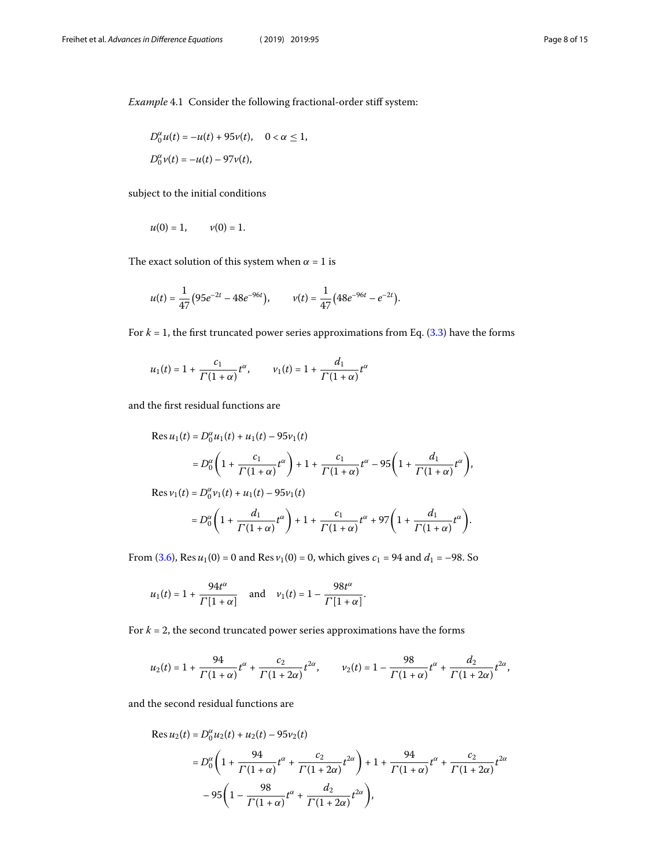<span id="page-7-0"></span>Example 4.1 Consider the following fractional-order stiff system:

$$
D_0^{\alpha}u(t) = -u(t) + 95v(t), \quad 0 < \alpha \le 1,
$$
  

$$
D_0^{\alpha}v(t) = -u(t) - 97v(t),
$$

subject to the initial conditions

$$
u(0) = 1,
$$
  $v(0) = 1.$ 

The exact solution of this system when  $\alpha = 1$  is

$$
u(t) = \frac{1}{47} (95e^{-2t} - 48e^{-96t}), \qquad v(t) = \frac{1}{47} (48e^{-96t} - e^{-2t}).
$$

For $k = 1$ , the first truncated power series approximations from Eq. ([3.3\)](#page-3-2) have the forms

$$
u_1(t) = 1 + \frac{c_1}{\Gamma(1+\alpha)}t^{\alpha}, \qquad v_1(t) = 1 + \frac{d_1}{\Gamma(1+\alpha)}t^{\alpha}
$$

and the first residual functions are

$$
\begin{aligned} \text{Res } u_1(t) &= D_0^\alpha u_1(t) + u_1(t) - 95v_1(t) \\ &= D_0^\alpha \left( 1 + \frac{c_1}{\Gamma(1+\alpha)} t^\alpha \right) + 1 + \frac{c_1}{\Gamma(1+\alpha)} t^\alpha - 95 \left( 1 + \frac{d_1}{\Gamma(1+\alpha)} t^\alpha \right), \\ \text{Res } v_1(t) &= D_0^\alpha v_1(t) + u_1(t) - 95v_1(t) \\ &= D_0^\alpha \left( 1 + \frac{d_1}{\Gamma(1+\alpha)} t^\alpha \right) + 1 + \frac{c_1}{\Gamma(1+\alpha)} t^\alpha + 97 \left( 1 + \frac{d_1}{\Gamma(1+\alpha)} t^\alpha \right). \end{aligned}
$$

From [\(3.6](#page-4-0)), Res  $u_1(0) = 0$  and Res  $v_1(0) = 0$ , which gives  $c_1 = 94$  and  $d_1 = -98$ . So

$$
u_1(t) = 1 + \frac{94t^{\alpha}}{\Gamma[1+\alpha]} \quad \text{and} \quad v_1(t) = 1 - \frac{98t^{\alpha}}{\Gamma[1+\alpha]}.
$$

For  $k = 2$ , the second truncated power series approximations have the forms

$$
u_2(t) = 1 + \frac{94}{\Gamma(1+\alpha)}t^{\alpha} + \frac{c_2}{\Gamma(1+2\alpha)}t^{2\alpha}, \qquad v_2(t) = 1 - \frac{98}{\Gamma(1+\alpha)}t^{\alpha} + \frac{d_2}{\Gamma(1+2\alpha)}t^{2\alpha},
$$

and the second residual functions are

$$
\begin{aligned} \text{Res}\,u_2(t) &= D_0^{\alpha} u_2(t) + u_2(t) - 95v_2(t) \\ &= D_0^{\alpha} \left( 1 + \frac{94}{\Gamma(1+\alpha)} t^{\alpha} + \frac{c_2}{\Gamma(1+2\alpha)} t^{2\alpha} \right) + 1 + \frac{94}{\Gamma(1+\alpha)} t^{\alpha} + \frac{c_2}{\Gamma(1+2\alpha)} t^{2\alpha} \\ &- 95 \left( 1 - \frac{98}{\Gamma(1+\alpha)} t^{\alpha} + \frac{d_2}{\Gamma(1+2\alpha)} t^{2\alpha} \right), \end{aligned}
$$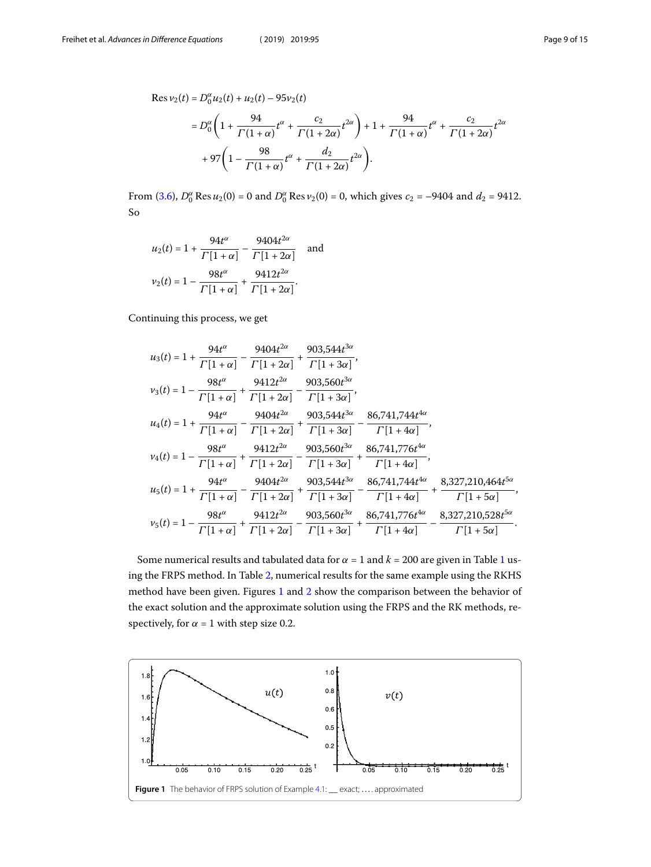$$
=D_0^{\alpha}\left(1+\frac{94}{\Gamma(1+\alpha)}t^{\alpha}+\frac{c_2}{\Gamma(1+2\alpha)}t^{2\alpha}\right)+1+\frac{94}{\Gamma(1+\alpha)}t^{\alpha}+\frac{c_2}{\Gamma(1+2\alpha)}t^{2\alpha}+97\left(1-\frac{98}{\Gamma(1+\alpha)}t^{\alpha}+\frac{d_2}{\Gamma(1+2\alpha)}t^{2\alpha}\right).
$$

From [\(3.6](#page-4-0)),  $D_0^{\alpha}$  Res  $u_2(0) = 0$  and  $D_0^{\alpha}$  Res  $v_2(0) = 0$ , which gives  $c_2 = -9404$  and  $d_2 = 9412$ . So

$$
u_2(t) = 1 + \frac{94t^{\alpha}}{\Gamma[1+\alpha]} - \frac{9404t^{2\alpha}}{\Gamma[1+2\alpha]} \text{ and}
$$
  

$$
v_2(t) = 1 - \frac{98t^{\alpha}}{\Gamma[1+\alpha]} + \frac{9412t^{2\alpha}}{\Gamma[1+2\alpha]}.
$$

Continuing this process, we get

$$
u_{3}(t) = 1 + \frac{94t^{\alpha}}{\Gamma[1+\alpha]} - \frac{9404t^{2\alpha}}{\Gamma[1+2\alpha]} + \frac{903,544t^{3\alpha}}{\Gamma[1+3\alpha]},
$$
  
\n
$$
v_{3}(t) = 1 - \frac{98t^{\alpha}}{\Gamma[1+\alpha]} + \frac{9412t^{2\alpha}}{\Gamma[1+2\alpha]} - \frac{903,560t^{3\alpha}}{\Gamma[1+3\alpha]},
$$
  
\n
$$
u_{4}(t) = 1 + \frac{94t^{\alpha}}{\Gamma[1+\alpha]} - \frac{9404t^{2\alpha}}{\Gamma[1+2\alpha]} + \frac{903,544t^{3\alpha}}{\Gamma[1+3\alpha]} - \frac{86,741,744t^{4\alpha}}{\Gamma[1+4\alpha]},
$$
  
\n
$$
v_{4}(t) = 1 - \frac{98t^{\alpha}}{\Gamma[1+\alpha]} + \frac{9412t^{2\alpha}}{\Gamma[1+2\alpha]} - \frac{903,560t^{3\alpha}}{\Gamma[1+3\alpha]} + \frac{86,741,776t^{4\alpha}}{\Gamma[1+4\alpha]},
$$
  
\n
$$
u_{5}(t) = 1 + \frac{94t^{\alpha}}{\Gamma[1+\alpha]} - \frac{9404t^{2\alpha}}{\Gamma[1+2\alpha]} + \frac{903,544t^{3\alpha}}{\Gamma[1+3\alpha]} - \frac{86,741,744t^{4\alpha}}{\Gamma[1+4\alpha]} + \frac{8,327,210,464t^{5\alpha}}{\Gamma[1+5\alpha]},
$$
  
\n
$$
v_{5}(t) = 1 - \frac{98t^{\alpha}}{\Gamma[1+\alpha]} + \frac{9412t^{2\alpha}}{\Gamma[1+2\alpha]} - \frac{903,560t^{3\alpha}}{\Gamma[1+3\alpha]} + \frac{86,741,776t^{4\alpha}}{\Gamma[1+4\alpha]} - \frac{8,327,210,528t^{5\alpha}}{\Gamma[1+5\alpha]}.
$$

Some numerical results and tabulated data for  $\alpha = 1$  $\alpha = 1$  and  $k = 200$  are given in Table 1 using the FRPS method. In Table [2,](#page-9-1) numerical results for the same example using the RKHS method have been given. Figures [1](#page-8-0) and [2](#page-9-2) show the comparison between the behavior of the exact solution and the approximate solution using the FRPS and the RK methods, respectively, for  $\alpha = 1$  with step size 0.2.

<span id="page-8-0"></span>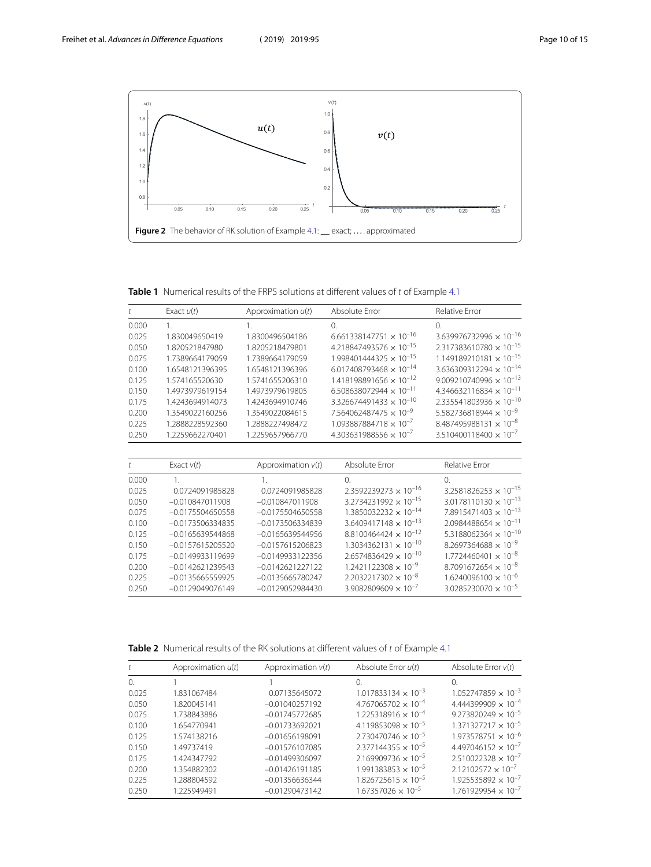<span id="page-9-2"></span>

<span id="page-9-0"></span>**Table 1** Numerical results of the FRPS solutions at different values of t of Example [4.1](#page-7-0)

| t                    | Exact $u(t)$       | Approximation $u(t)$ | Absolute Error                        | Relative Error                            |
|----------------------|--------------------|----------------------|---------------------------------------|-------------------------------------------|
| 0.000                | $\mathbf{1}$ .     | 1.                   | $\Omega$ .                            | $\Omega$                                  |
| 0.025                | 1.830049650419     | 1.8300496504186      | $6.661338147751 \times 10^{-16}$      | $3.639976732996 \times 10^{-16}$          |
| 0.050                | 1.820521847980     | 1.8205218479801      | $4.218847493576 \times 10^{-15}$      | $2.317383610780 \times 10^{-15}$          |
| 0.075                | 1.7389664179059    | 1.7389664179059      | $1.998401444325 \times 10^{-15}$      | $1.149189210181 \times 10^{-15}$          |
| 0.100                | 1.6548121396395    | 1.6548121396396      | $6.017408793468 \times 10^{-14}$      | $3.636309312294 \times 10^{-14}$          |
| 0.125                | 1.574165520630     | 1.5741655206310      | $1.418198891656 \times 10^{-12}$      | $9.009210740996 \times 10^{-13}$          |
| 0.150                | 1.4973979619154    | 1.4973979619805      | $6.508638072944 \times 10^{-11}$      | 4.346632116834 $\times$ 10 <sup>-11</sup> |
| 0.175                | 1.4243694914073    | 1.4243694910746      | $3.326674491433 \times 10^{-10}$      | $2.335541803936 \times 10^{-10}$          |
| 0.200                | 1.3549022160256    | 1.3549022084615      | $7.564062487475 \times 10^{-9}$       | $5.582736818944 \times 10^{-9}$           |
| 0.225                | 1.2888228592360    | 1.2888227498472      | $1.093887884718 \times 10^{-7}$       | $8.487495988131 \times 10^{-8}$           |
| 0.250                | 1.2259662270401    | 1.2259657966770      | $4.303631988556 \times 10^{-7}$       | $3.510400118400 \times 10^{-7}$           |
|                      |                    |                      |                                       |                                           |
| $\ddot{\phantom{1}}$ | Exact $v(t)$       | Approximation $v(t)$ | Absolute Error                        | Relative Error                            |
| 0.000                | 1.                 | 1                    | $\Omega$                              | $\Omega$                                  |
| 0.025                | 0.0724091985828    | 0.0724091985828      | $2.3592239273 \times 10^{-16}$        | $3.2581826253 \times 10^{-15}$            |
| 0.050                | $-0.010847011908$  | $-0.010847011908$    | $3.2734231992 \times 10^{-15}$        | $3.0178110130 \times 10^{-13}$            |
| 0.075                | $-0.0175504650558$ | $-0.0175504650558$   | $1.3850032232 \times 10^{-14}$        | $7.8915471403 \times 10^{-13}$            |
| 0.100                | $-0.0173506334835$ | $-0.0173506334839$   | $3.6409417148 \times 10^{-13}$        | $2.0984488654 \times 10^{-11}$            |
| 0.125                | $-0.0165639544868$ | $-0.0165639544956$   | $8.8100464424 \times 10^{-12}$        | 5.3188062364 $\times$ 10 <sup>-10</sup>   |
| 0.150                | $-0.0157615205520$ | $-0.0157615206823$   | $1.3034362131 \times 10^{-10}$        | $8.2697364688 \times 10^{-9}$             |
| 0.175                | $-0.0149933119699$ | $-0.0149933122356$   | $2.6574836429 \times 10^{-10}$        | $1.7724460401 \times 10^{-8}$             |
| 0.200                | $-0.0142621239543$ | $-0.0142621227122$   | $1.2421122308 \times 10^{-9}$         | $8.7091672654 \times 10^{-8}$             |
| 0.225                | $-0.0135665559925$ | $-0.0135665780247$   | $2.2032217302 \times 10^{-8}$         | $1.6240096100 \times 10^{-6}$             |
| 0.250                | $-0.0129049076149$ | $-0.0129052984430$   | 39082809609 $\times$ 10 <sup>-7</sup> | $3.0285230070 \times 10^{-5}$             |

<span id="page-9-1"></span>**Table 2** Numerical results of the RK solutions at different values of t of Example [4.1](#page-7-0)

|          | Approximation $u(t)$ | Approximation $v(t)$ | Absolute Error $u(t)$        | Absolute Error $v(t)$        |
|----------|----------------------|----------------------|------------------------------|------------------------------|
| $\Omega$ |                      |                      | 0                            | 0.                           |
| 0.025    | 1.831067484          | 0.07135645072        | $1.017833134 \times 10^{-3}$ | $1.052747859 \times 10^{-3}$ |
| 0.050    | 1.820045141          | $-0.01040257192$     | $4.767065702 \times 10^{-4}$ | $4.444399909 \times 10^{-4}$ |
| 0.075    | 1.738843886          | $-0.01745772685$     | $1.225318916 \times 10^{-4}$ | $9.273820249 \times 10^{-5}$ |
| 0.100    | 1.654770941          | $-0.01733692021$     | $4.119853098 \times 10^{-5}$ | $1.371327217 \times 10^{-5}$ |
| 0.125    | 1.574138216          | $-0.01656198091$     | $2.730470746 \times 10^{-5}$ | $1.973578751 \times 10^{-6}$ |
| 0.150    | 1.49737419           | $-0.01576107085$     | $2.377144355 \times 10^{-5}$ | $4.497046152 \times 10^{-7}$ |
| 0.175    | 1.424347792          | $-0.01499306097$     | $2.169909736 \times 10^{-5}$ | $2.510022328 \times 10^{-7}$ |
| 0.200    | 1.354882302          | $-0.01426191185$     | $1.991383853 \times 10^{-5}$ | $2.12102572 \times 10^{-7}$  |
| 0.225    | 1.288804592          | $-0.01356636344$     | $1.826725615 \times 10^{-5}$ | $1.925535892 \times 10^{-7}$ |
| 0.250    | 1.225949491          | $-0.01290473142$     | $1.67357026 \times 10^{-5}$  | $1.761929954 \times 10^{-7}$ |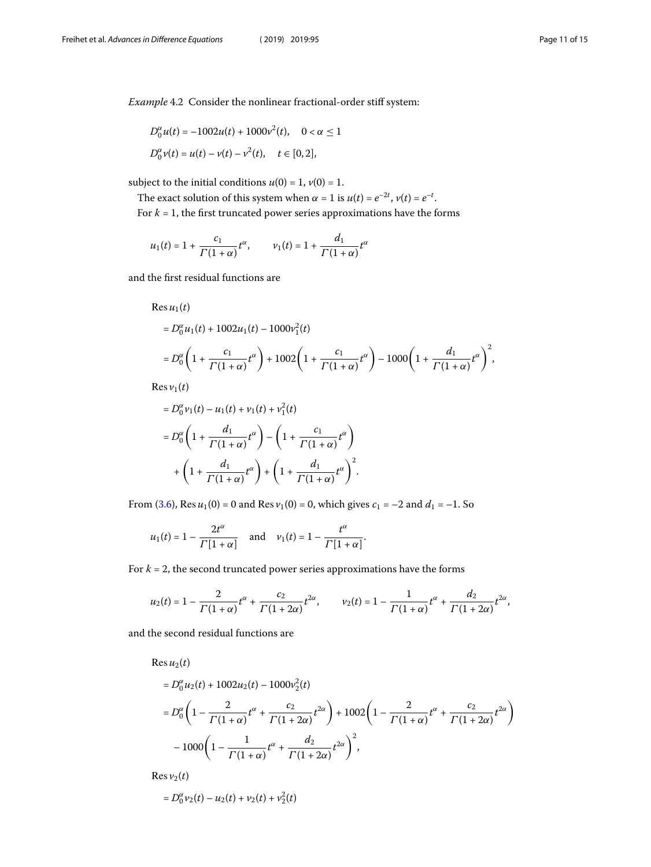<span id="page-10-0"></span>
$$
D_0^{\alpha} u(t) = -1002u(t) + 1000v^2(t), \quad 0 < \alpha \le 1
$$
  

$$
D_0^{\alpha} v(t) = u(t) - v(t) - v^2(t), \quad t \in [0, 2],
$$

subject to the initial conditions  $u(0) = 1$ ,  $v(0) = 1$ .

The exact solution of this system when  $\alpha = 1$  is  $u(t) = e^{-2t}$ ,  $v(t) = e^{-t}$ .

For  $k = 1$ , the first truncated power series approximations have the forms

$$
u_1(t)=1+\frac{c_1}{\Gamma(1+\alpha)}t^{\alpha},\qquad v_1(t)=1+\frac{d_1}{\Gamma(1+\alpha)}t^{\alpha}
$$

and the first residual functions are

Res 
$$
u_1(t)
$$
  
\n
$$
= D_0^{\alpha} u_1(t) + 1002u_1(t) - 1000v_1^2(t)
$$
\n
$$
= D_0^{\alpha} \left( 1 + \frac{c_1}{\Gamma(1+\alpha)} t^{\alpha} \right) + 1002 \left( 1 + \frac{c_1}{\Gamma(1+\alpha)} t^{\alpha} \right) - 1000 \left( 1 + \frac{d_1}{\Gamma(1+\alpha)} t^{\alpha} \right)^2,
$$
\nRes  $u_1(t)$ 

 $\text{Res } v_1(t)$ 

$$
=D_0^{\alpha}v_1(t) - u_1(t) + v_1(t) + v_1^2(t)
$$
  

$$
=D_0^{\alpha} \left(1 + \frac{d_1}{\Gamma(1+\alpha)}t^{\alpha}\right) - \left(1 + \frac{c_1}{\Gamma(1+\alpha)}t^{\alpha}\right)
$$
  

$$
+ \left(1 + \frac{d_1}{\Gamma(1+\alpha)}t^{\alpha}\right) + \left(1 + \frac{d_1}{\Gamma(1+\alpha)}t^{\alpha}\right)^2.
$$

From [\(3.6](#page-4-0)), Res  $u_1(0) = 0$  and Res  $v_1(0) = 0$ , which gives  $c_1 = -2$  and  $d_1 = -1$ . So

$$
u_1(t) = 1 - \frac{2t^{\alpha}}{\Gamma[1 + \alpha]}
$$
 and  $v_1(t) = 1 - \frac{t^{\alpha}}{\Gamma[1 + \alpha]}$ .

For  $k = 2$ , the second truncated power series approximations have the forms

$$
u_2(t) = 1 - \frac{2}{\Gamma(1+\alpha)}t^{\alpha} + \frac{c_2}{\Gamma(1+2\alpha)}t^{2\alpha}, \qquad v_2(t) = 1 - \frac{1}{\Gamma(1+\alpha)}t^{\alpha} + \frac{d_2}{\Gamma(1+2\alpha)}t^{2\alpha},
$$

and the second residual functions are

Res $u_2(t)$ 

$$
=D_0^{\alpha}u_2(t) + 1002u_2(t) - 1000v_2^2(t)
$$
  
=  $D_0^{\alpha} \left(1 - \frac{2}{\Gamma(1+\alpha)}t^{\alpha} + \frac{c_2}{\Gamma(1+2\alpha)}t^{2\alpha}\right) + 1002\left(1 - \frac{2}{\Gamma(1+\alpha)}t^{\alpha} + \frac{c_2}{\Gamma(1+2\alpha)}t^{2\alpha}\right)$   
-  $1000\left(1 - \frac{1}{\Gamma(1+\alpha)}t^{\alpha} + \frac{d_2}{\Gamma(1+2\alpha)}t^{2\alpha}\right)^2$ ,

Res  $v_2(t)$ 

$$
=D_0^{\alpha} \nu_2(t) - u_2(t) + \nu_2(t) + \nu_2^2(t)
$$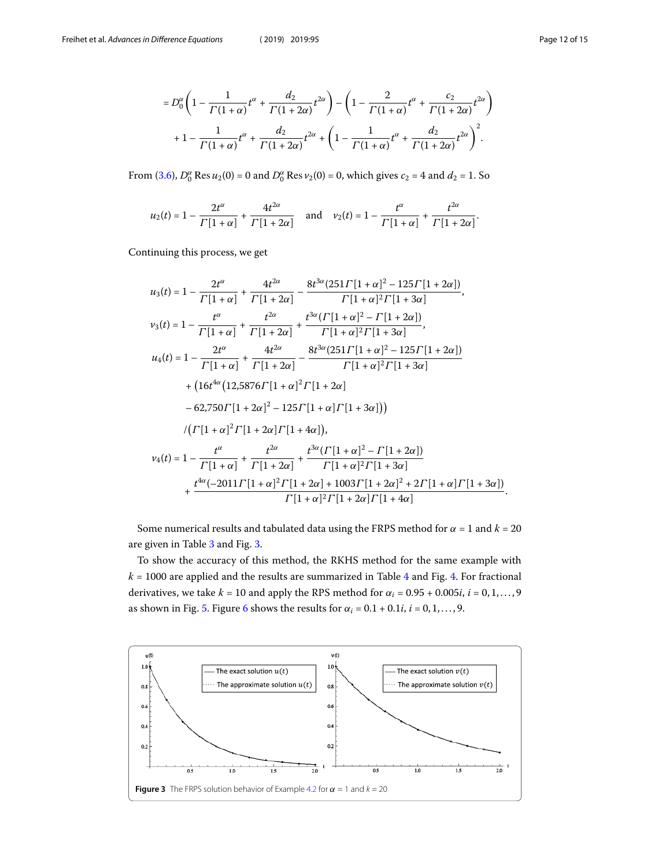$$
=D_0^{\alpha} \left(1 - \frac{1}{\Gamma(1+\alpha)} t^{\alpha} + \frac{d_2}{\Gamma(1+2\alpha)} t^{2\alpha} \right) - \left(1 - \frac{2}{\Gamma(1+\alpha)} t^{\alpha} + \frac{c_2}{\Gamma(1+2\alpha)} t^{2\alpha} \right) + 1 - \frac{1}{\Gamma(1+\alpha)} t^{\alpha} + \frac{d_2}{\Gamma(1+2\alpha)} t^{2\alpha} + \left(1 - \frac{1}{\Gamma(1+\alpha)} t^{\alpha} + \frac{d_2}{\Gamma(1+2\alpha)} t^{2\alpha} \right)^2.
$$

From [\(3.6](#page-4-0)),  $D_0^{\alpha}$  Res  $u_2(0) = 0$  and  $D_0^{\alpha}$  Res  $v_2(0) = 0$ , which gives  $c_2 = 4$  and  $d_2 = 1$ . So

$$
u_2(t) = 1 - \frac{2t^{\alpha}}{\Gamma[1+\alpha]} + \frac{4t^{2\alpha}}{\Gamma[1+2\alpha]}
$$
 and  $v_2(t) = 1 - \frac{t^{\alpha}}{\Gamma[1+\alpha]} + \frac{t^{2\alpha}}{\Gamma[1+2\alpha]}.$ 

Continuing this process, we get

$$
u_{3}(t) = 1 - \frac{2t^{\alpha}}{\Gamma[1+\alpha]} + \frac{4t^{2\alpha}}{\Gamma[1+2\alpha]} - \frac{8t^{3\alpha}(251\Gamma[1+\alpha]^{2} - 125\Gamma[1+2\alpha])}{\Gamma[1+\alpha]^{2}\Gamma[1+3\alpha]},
$$
  
\n
$$
v_{3}(t) = 1 - \frac{t^{\alpha}}{\Gamma[1+\alpha]} + \frac{t^{2\alpha}}{\Gamma[1+2\alpha]} + \frac{t^{3\alpha}(\Gamma[1+\alpha]^{2} - \Gamma[1+2\alpha])}{\Gamma[1+\alpha]^{2}\Gamma[1+3\alpha]},
$$
  
\n
$$
u_{4}(t) = 1 - \frac{2t^{\alpha}}{\Gamma[1+\alpha]} + \frac{4t^{2\alpha}}{\Gamma[1+2\alpha]} - \frac{8t^{3\alpha}(251\Gamma[1+\alpha]^{2} - 125\Gamma[1+2\alpha])}{\Gamma[1+\alpha]^{2}\Gamma[1+3\alpha]}
$$
  
\n+  $(16t^{4\alpha}(12,5876\Gamma[1+\alpha]^{2}\Gamma[1+2\alpha]) - 62,750\Gamma[1+2\alpha]^{2} - 125\Gamma[1+\alpha]\Gamma[1+3\alpha]))$   
\n
$$
/(\Gamma[1+\alpha]^{2}\Gamma[1+2\alpha]\Gamma[1+4\alpha]),
$$
  
\n
$$
v_{4}(t) = 1 - \frac{t^{\alpha}}{\Gamma[1+\alpha]} + \frac{t^{2\alpha}}{\Gamma[1+2\alpha]} + \frac{t^{3\alpha}(\Gamma[1+\alpha]^{2} - \Gamma[1+2\alpha])}{\Gamma[1+\alpha]^{2}\Gamma[1+3\alpha]} + \frac{t^{4\alpha}(-2011\Gamma[1+\alpha]^{2}\Gamma[1+2\alpha] + 1003\Gamma[1+2\alpha]^{2} + 2\Gamma[1+\alpha]\Gamma[1+3\alpha])}{\Gamma[1+\alpha]^{2}\Gamma[1+2\alpha]\Gamma[1+2\alpha]}.
$$

Some numerical results and tabulated data using the FRPS method for  $\alpha = 1$  and  $k = 20$ are given in Table [3](#page-12-0) and Fig. [3.](#page-11-0)

To show the accuracy of this method, the RKHS method for the same example with  $k = 1000$  are applied and the results are summarized in Table [4](#page-12-1) and Fig. [4.](#page-12-2) For fractional derivatives, we take  $k = 10$  and apply the RPS method for  $\alpha_i = 0.95 + 0.005i$ ,  $i = 0, 1, ..., 9$ as shown in Fig. [5.](#page-13-4) Figure [6](#page-13-5) shows the results for  $\alpha_i = 0.1 + 0.1i$ ,  $i = 0, 1, ..., 9$ .

<span id="page-11-0"></span>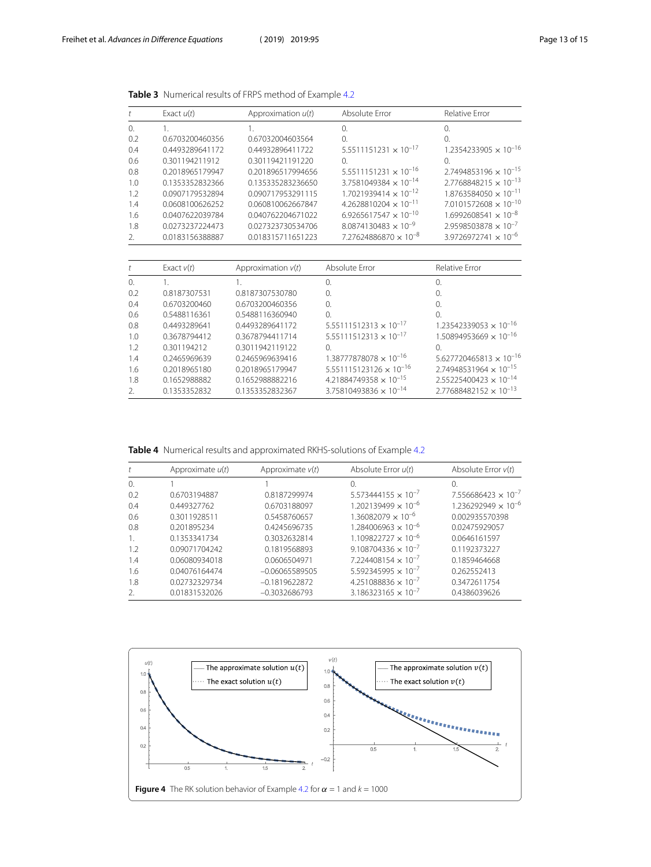| t          | Exact $u(t)$    | Approximation $u(t)$ | Absolute Error                           | Relative Error                   |
|------------|-----------------|----------------------|------------------------------------------|----------------------------------|
| $\Omega$ . | 1.              | 1.                   | $\Omega$                                 | $\Omega$                         |
| 0.2        | 0.6703200460356 | 0.67032004603564     | $\Omega$                                 | $\Omega$                         |
| 0.4        | 0.4493289641172 | 0.44932896411722     | $5.5511151231 \times 10^{-17}$           | $1.2354233905 \times 10^{-16}$   |
| 0.6        | 0.301194211912  | 0.30119421191220     | $\Omega$ .                               | $\Omega$                         |
| 0.8        | 0.2018965179947 | 0.201896517994656    | $5.5511151231 \times 10^{-16}$           | $2.7494853196 \times 10^{-15}$   |
| 1.0        | 0.1353352832366 | 0.135335283236650    | 3.7581049384 $\times$ 10 <sup>-14</sup>  | $2.7768848215 \times 10^{-13}$   |
| 1.2        | 0.0907179532894 | 0.090717953291115    | $1.7021939414 \times 10^{-12}$           | $1.8763584050 \times 10^{-11}$   |
| 1.4        | 0.0608100626252 | 0.060810062667847    | $4.2628810204 \times 10^{-11}$           | $7.0101572608 \times 10^{-10}$   |
| 1.6        | 0.0407622039784 | 0.040762204671022    | $6.9265617547 \times 10^{-10}$           | $1.6992608541 \times 10^{-8}$    |
| 1.8        | 0.0273237224473 | 0.027323730534706    | $8.0874130483 \times 10^{-9}$            | $2.9598503878 \times 10^{-7}$    |
| 2.         | 0.0183156388887 | 0.018315711651223    | $7.27624886870 \times 10^{-8}$           | $3.9726972741 \times 10^{-6}$    |
|            |                 |                      |                                          |                                  |
| t          | Exact $v(t)$    | Approximation $v(t)$ | Absolute Error                           | Relative Error                   |
| 0.         | 1.              | 1.                   | 0.                                       | $\Omega$ .                       |
| 0.2        | 0.8187307531    | 0.8187307530780      | 0.                                       | $\Omega$ .                       |
| 0.4        | 0.6703200460    | 0.6703200460356      | $\Omega$ .                               | $\Omega$ .                       |
| 0.6        | 0.5488116361    | 0.5488116360940      | $\Omega$                                 | 0                                |
| 0.8        | 0.4493289641    | 0.4493289641172      | $5.55111512313 \times 10^{-17}$          | $1.23542339053 \times 10^{-16}$  |
| 1.0        | 0.3678794412    | 0.3678794411714      | $5.55111512313 \times 10^{-17}$          | $1.50894953669 \times 10^{-16}$  |
| 1.2        | 0.301194212     | 0.3011942119122      | $\Omega$ .                               | $\Omega$ .                       |
| 1.4        | 0.2465969639    | 0.2465969639416      | $1.38777878078 \times 10^{-16}$          | $5.627720465813 \times 10^{-16}$ |
| 1.6        | 0.2018965180    | 0.2018965179947      | $5.551115123126 \times 10^{-16}$         | $2.74948531964 \times 10^{-15}$  |
| 1.8        | 0.1652988882    | 0.1652988882216      | 4.21884749358 $\times$ 10 <sup>-15</sup> | $2.55225400423 \times 10^{-14}$  |
| 2.         | 0.1353352832    | 0.1353352832367      | $3.75810493836 \times 10^{-14}$          | $2.77688482152 \times 10^{-13}$  |

<span id="page-12-0"></span>**Table 3** Numerical results of FRPS method of Example [4.2](#page-10-0)

<span id="page-12-1"></span>**Table 4** Numerical results and approximated RKHS-solutions of Example [4.2](#page-10-0)

|          | Approximate $u(t)$ | Approximate $v(t)$ | Absolute Error $u(t)$                 | Absolute Error $v(t)$        |
|----------|--------------------|--------------------|---------------------------------------|------------------------------|
| $\Omega$ |                    |                    | $\Omega$                              | 0.                           |
| 0.2      | 0.6703194887       | 0.8187299974       | $5.573444155 \times 10^{-7}$          | $7.556686423 \times 10^{-7}$ |
| 0.4      | 0.449327762        | 0.6703188097       | $1.202139499 \times 10^{-6}$          | $1.236292949 \times 10^{-6}$ |
| 0.6      | 0.3011928511       | 0.5458760657       | $1.36082079 \times 10^{-6}$           | 0.002935570398               |
| 0.8      | 0.201895234        | 0.4245696735       | $1.284006963 \times 10^{-6}$          | 0.02475929057                |
| -1.      | 0.1353341734       | 0.3032632814       | $1.109822727 \times 10^{-6}$          | 0.0646161597                 |
| 1.2      | 0.09071704242      | 0.1819568893       | $9.108704336 \times 10^{-7}$          | 0.1192373227                 |
| 1.4      | 0.06080934018      | 0.0606504971       | $7.224408154 \times 10^{-7}$          | 0.1859464668                 |
| 1.6      | 0.04076164474      | $-0.06065589505$   | $5.592345995 \times 10^{-7}$          | 0.262552413                  |
| 1.8      | 0.02732329734      | $-0.1819622872$    | 4.251088836 $\times$ 10 <sup>-7</sup> | 0.3472611754                 |
| 2.       | 0.01831532026      | $-0.3032686793$    | $3.186323165 \times 10^{-7}$          | 0.4386039626                 |

<span id="page-12-2"></span>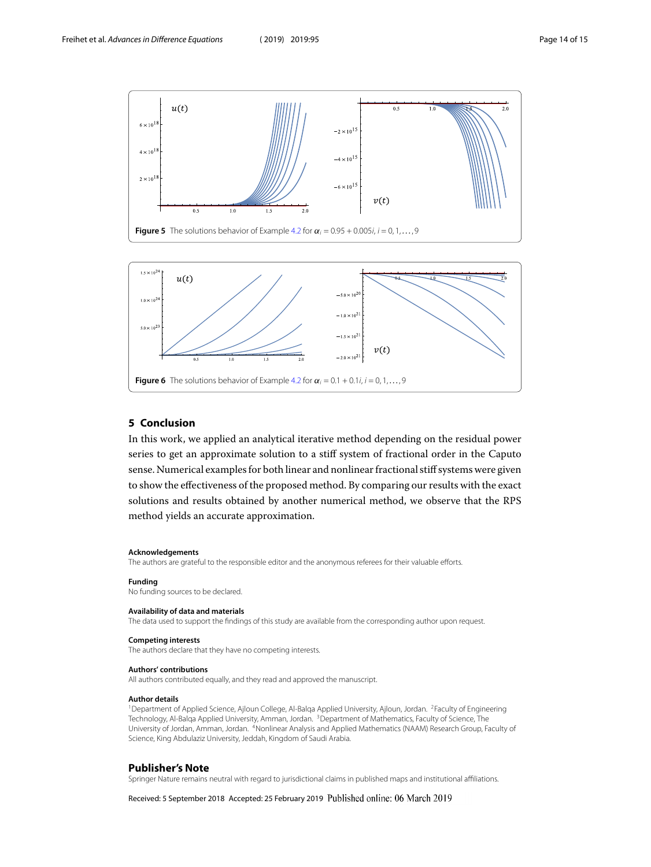<span id="page-13-4"></span>

<span id="page-13-5"></span>

#### **5 Conclusion**

In this work, we applied an analytical iterative method depending on the residual power series to get an approximate solution to a stiff system of fractional order in the Caputo sense. Numerical examples for both linear and nonlinear fractional stiff systems were given to show the effectiveness of the proposed method. By comparing our results with the exact solutions and results obtained by another numerical method, we observe that the RPS method yields an accurate approximation.

#### **Acknowledgements**

The authors are grateful to the responsible editor and the anonymous referees for their valuable efforts.

#### **Funding**

No funding sources to be declared.

#### <span id="page-13-1"></span><span id="page-13-0"></span>**Availability of data and materials**

<span id="page-13-3"></span><span id="page-13-2"></span>The data used to support the findings of this study are available from the corresponding author upon request.

#### **Competing interests**

The authors declare that they have no competing interests.

#### **Authors' contributions**

All authors contributed equally, and they read and approved the manuscript.

#### **Author details**

<sup>1</sup> Department of Applied Science, Ajloun College, Al-Balqa Applied University, Ajloun, Jordan. <sup>2</sup>Faculty of Engineering Technology, Al-Balqa Applied University, Amman, Jordan. <sup>3</sup>Department of Mathematics, Faculty of Science, The University of Jordan, Amman, Jordan. <sup>4</sup>Nonlinear Analysis and Applied Mathematics (NAAM) Research Group, Faculty of Science, King Abdulaziz University, Jeddah, Kingdom of Saudi Arabia.

#### **Publisher's Note**

Springer Nature remains neutral with regard to jurisdictional claims in published maps and institutional affiliations.

Received: 5 September 2018 Accepted: 25 February 2019